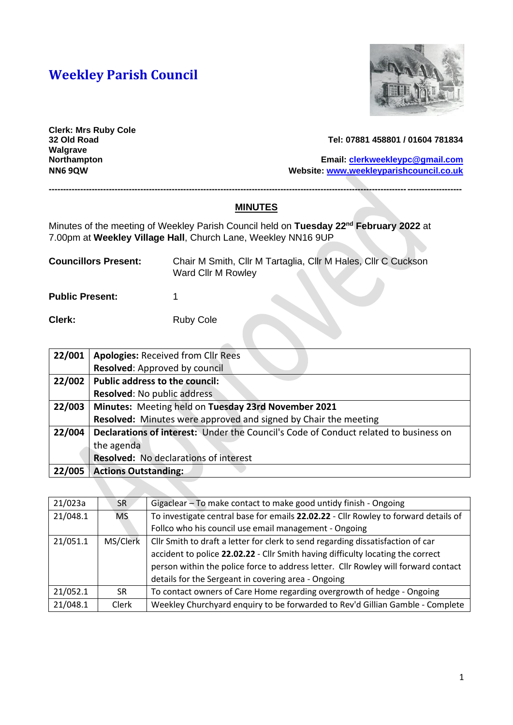# **Weekley Parish Council**



**Clerk: Mrs Ruby Cole Walgrave** 

#### **32 Old Road Tel: 07881 458801 / 01604 781834**

**Northampton Email: [clerkweekleypc@gmail.com](mailto:clerkweekleypc@gmail.com) NN6 9QW Website: [www.weekleyparishcouncil.co.uk](http://www.weekleyparishcouncil.co.uk/)**

#### **MINUTES**

**------------------------------------------------------------------------------------------------------------------------------------------------**

Minutes of the meeting of Weekley Parish Council held on **Tuesday 22nd February 2022** at 7.00pm at **Weekley Village Hall**, Church Lane, Weekley NN16 9UP

| <b>Councillors Present:</b> | Ward Cllr M Rowley | Chair M Smith, Cllr M Tartaglia, Cllr M Hales, Cllr C Cuckson |
|-----------------------------|--------------------|---------------------------------------------------------------|
| <b>Public Present:</b>      |                    |                                                               |

**Clerk:** Ruby Cole

| 22/001 | <b>Apologies: Received from Cllr Rees</b>                                                   |
|--------|---------------------------------------------------------------------------------------------|
|        | Resolved: Approved by council                                                               |
| 22/002 | <b>Public address to the council:</b>                                                       |
|        | <b>Resolved: No public address</b>                                                          |
| 22/003 | Minutes: Meeting held on Tuesday 23rd November 2021                                         |
|        | Resolved: Minutes were approved and signed by Chair the meeting                             |
| 22/004 | <b>Declarations of interest:</b> Under the Council's Code of Conduct related to business on |
|        | the agenda                                                                                  |
|        | <b>Resolved:</b> No declarations of interest                                                |
| 22/005 | <b>Actions Outstanding:</b>                                                                 |

| 21/023a  | <b>SR</b> | Gigaclear - To make contact to make good untidy finish - Ongoing                    |  |
|----------|-----------|-------------------------------------------------------------------------------------|--|
| 21/048.1 | <b>MS</b> | To investigate central base for emails 22.02.22 - Cllr Rowley to forward details of |  |
|          |           | Follco who his council use email management - Ongoing                               |  |
| 21/051.1 | MS/Clerk  | Cllr Smith to draft a letter for clerk to send regarding dissatisfaction of car     |  |
|          |           | accident to police 22.02.22 - Cllr Smith having difficulty locating the correct     |  |
|          |           | person within the police force to address letter. Cllr Rowley will forward contact  |  |
|          |           | details for the Sergeant in covering area - Ongoing                                 |  |
| 21/052.1 | <b>SR</b> | To contact owners of Care Home regarding overgrowth of hedge - Ongoing              |  |
| 21/048.1 | Clerk     | Weekley Churchyard enquiry to be forwarded to Rev'd Gillian Gamble - Complete       |  |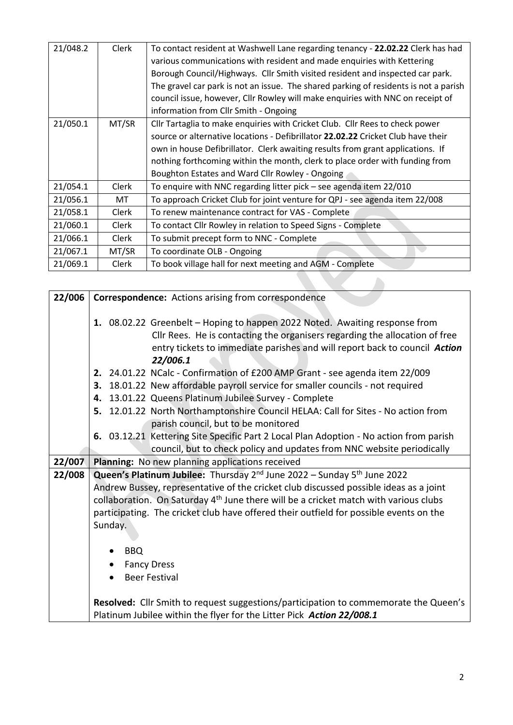| 21/048.2 | Clerk | To contact resident at Washwell Lane regarding tenancy - 22.02.22 Clerk has had<br>various communications with resident and made enquiries with Kettering<br>Borough Council/Highways. Cllr Smith visited resident and inspected car park.<br>The gravel car park is not an issue. The shared parking of residents is not a parish<br>council issue, however, Cllr Rowley will make enquiries with NNC on receipt of<br>information from Cllr Smith - Ongoing |
|----------|-------|---------------------------------------------------------------------------------------------------------------------------------------------------------------------------------------------------------------------------------------------------------------------------------------------------------------------------------------------------------------------------------------------------------------------------------------------------------------|
| 21/050.1 | MT/SR | Cllr Tartaglia to make enquiries with Cricket Club. Cllr Rees to check power<br>source or alternative locations - Defibrillator 22.02.22 Cricket Club have their<br>own in house Defibrillator. Clerk awaiting results from grant applications. If<br>nothing forthcoming within the month, clerk to place order with funding from<br>Boughton Estates and Ward Cllr Rowley - Ongoing                                                                         |
| 21/054.1 | Clerk | To enquire with NNC regarding litter pick - see agenda item 22/010                                                                                                                                                                                                                                                                                                                                                                                            |
| 21/056.1 | MT    | To approach Cricket Club for joint venture for QPJ - see agenda item 22/008                                                                                                                                                                                                                                                                                                                                                                                   |
| 21/058.1 | Clerk | To renew maintenance contract for VAS - Complete                                                                                                                                                                                                                                                                                                                                                                                                              |
| 21/060.1 | Clerk | To contact Cllr Rowley in relation to Speed Signs - Complete                                                                                                                                                                                                                                                                                                                                                                                                  |
| 21/066.1 | Clerk | To submit precept form to NNC - Complete                                                                                                                                                                                                                                                                                                                                                                                                                      |
| 21/067.1 | MT/SR | To coordinate OLB - Ongoing                                                                                                                                                                                                                                                                                                                                                                                                                                   |
| 21/069.1 | Clerk | To book village hall for next meeting and AGM - Complete                                                                                                                                                                                                                                                                                                                                                                                                      |

| 22/006 | <b>Correspondence:</b> Actions arising from correspondence                                                                                                                                                                                           |  |  |
|--------|------------------------------------------------------------------------------------------------------------------------------------------------------------------------------------------------------------------------------------------------------|--|--|
|        | 1. 08.02.22 Greenbelt - Hoping to happen 2022 Noted. Awaiting response from<br>Cllr Rees. He is contacting the organisers regarding the allocation of free<br>entry tickets to immediate parishes and will report back to council Action<br>22/006.1 |  |  |
|        | 2. 24.01.22 NCalc - Confirmation of £200 AMP Grant - see agenda item 22/009                                                                                                                                                                          |  |  |
|        | 3. 18.01.22 New affordable payroll service for smaller councils - not required                                                                                                                                                                       |  |  |
|        | 4. 13.01.22 Queens Platinum Jubilee Survey - Complete                                                                                                                                                                                                |  |  |
|        | 5. 12.01.22 North Northamptonshire Council HELAA: Call for Sites - No action from                                                                                                                                                                    |  |  |
|        | parish council, but to be monitored                                                                                                                                                                                                                  |  |  |
|        | 6. 03.12.21 Kettering Site Specific Part 2 Local Plan Adoption - No action from parish                                                                                                                                                               |  |  |
|        | council, but to check policy and updates from NNC website periodically                                                                                                                                                                               |  |  |
| 22/007 | Planning: No new planning applications received                                                                                                                                                                                                      |  |  |
| 22/008 | Queen's Platinum Jubilee: Thursday 2 <sup>nd</sup> June 2022 - Sunday 5 <sup>th</sup> June 2022                                                                                                                                                      |  |  |
|        | Andrew Bussey, representative of the cricket club discussed possible ideas as a joint                                                                                                                                                                |  |  |
|        | collaboration. On Saturday 4 <sup>th</sup> June there will be a cricket match with various clubs                                                                                                                                                     |  |  |
|        | participating. The cricket club have offered their outfield for possible events on the                                                                                                                                                               |  |  |
|        | Sunday.                                                                                                                                                                                                                                              |  |  |
|        |                                                                                                                                                                                                                                                      |  |  |
|        | <b>BBQ</b>                                                                                                                                                                                                                                           |  |  |
|        | <b>Fancy Dress</b>                                                                                                                                                                                                                                   |  |  |
|        | <b>Beer Festival</b>                                                                                                                                                                                                                                 |  |  |
|        | Resolved: Cllr Smith to request suggestions/participation to commemorate the Queen's<br>Platinum Jubilee within the flyer for the Litter Pick Action 22/008.1                                                                                        |  |  |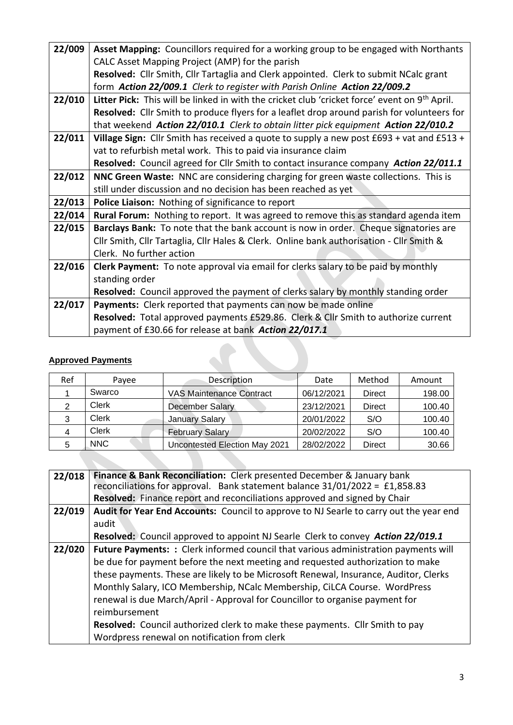| 22/009 | Asset Mapping: Councillors required for a working group to be engaged with Northants                      |
|--------|-----------------------------------------------------------------------------------------------------------|
|        | CALC Asset Mapping Project (AMP) for the parish                                                           |
|        | Resolved: Cllr Smith, Cllr Tartaglia and Clerk appointed. Clerk to submit NCalc grant                     |
|        | form Action 22/009.1 Clerk to register with Parish Online Action 22/009.2                                 |
| 22/010 | Litter Pick: This will be linked in with the cricket club 'cricket force' event on 9 <sup>th</sup> April. |
|        | Resolved: Cllr Smith to produce flyers for a leaflet drop around parish for volunteers for                |
|        | that weekend Action 22/010.1 Clerk to obtain litter pick equipment Action 22/010.2                        |
| 22/011 | Village Sign: Cllr Smith has received a quote to supply a new post £693 + vat and £513 +                  |
|        | vat to refurbish metal work. This to paid via insurance claim                                             |
|        | Resolved: Council agreed for Cllr Smith to contact insurance company Action 22/011.1                      |
| 22/012 | NNC Green Waste: NNC are considering charging for green waste collections. This is                        |
|        | still under discussion and no decision has been reached as yet                                            |
| 22/013 | Police Liaison: Nothing of significance to report                                                         |
| 22/014 | <b>Rural Forum:</b> Nothing to report. It was agreed to remove this as standard agenda item               |
| 22/015 | Barclays Bank: To note that the bank account is now in order. Cheque signatories are                      |
|        | Cllr Smith, Cllr Tartaglia, Cllr Hales & Clerk. Online bank authorisation - Cllr Smith &                  |
|        | Clerk. No further action                                                                                  |
| 22/016 | Clerk Payment: To note approval via email for clerks salary to be paid by monthly                         |
|        | standing order                                                                                            |
|        | Resolved: Council approved the payment of clerks salary by monthly standing order                         |
| 22/017 | Payments: Clerk reported that payments can now be made online                                             |
|        | Resolved: Total approved payments £529.86. Clerk & Cllr Smith to authorize current                        |
|        | payment of £30.66 for release at bank Action 22/017.1                                                     |
|        |                                                                                                           |
|        | <b>Approved Payments</b>                                                                                  |
|        |                                                                                                           |
|        |                                                                                                           |

## **Approved Payments**

| Ref | Payee        | Description                     | Date       | Method        | Amount |
|-----|--------------|---------------------------------|------------|---------------|--------|
|     | Swarco       | <b>VAS Maintenance Contract</b> | 06/12/2021 | <b>Direct</b> | 198.00 |
| 2   | Clerk        | <b>December Salary</b>          | 23/12/2021 | <b>Direct</b> | 100.40 |
| 3   | Clerk        | <b>January Salary</b>           | 20/01/2022 | S/O           | 100.40 |
|     | <b>Clerk</b> | February Salary                 | 20/02/2022 | S/O           | 100.40 |
| 5   | <b>NNC</b>   | Uncontested Election May 2021   | 28/02/2022 | <b>Direct</b> | 30.66  |
|     |              |                                 |            |               |        |

| 22/018 | Finance & Bank Reconciliation: Clerk presented December & January bank<br>reconciliations for approval. Bank statement balance 31/01/2022 = £1,858.83 |
|--------|-------------------------------------------------------------------------------------------------------------------------------------------------------|
|        | Resolved: Finance report and reconciliations approved and signed by Chair                                                                             |
| 22/019 | Audit for Year End Accounts: Council to approve to NJ Searle to carry out the year end                                                                |
|        | audit                                                                                                                                                 |
|        | Resolved: Council approved to appoint NJ Searle Clerk to convey Action 22/019.1                                                                       |
| 22/020 | Future Payments: : Clerk informed council that various administration payments will                                                                   |
|        | be due for payment before the next meeting and requested authorization to make                                                                        |
|        | these payments. These are likely to be Microsoft Renewal, Insurance, Auditor, Clerks                                                                  |
|        | Monthly Salary, ICO Membership, NCalc Membership, CiLCA Course. WordPress                                                                             |
|        | renewal is due March/April - Approval for Councillor to organise payment for                                                                          |
|        | reimbursement                                                                                                                                         |
|        | Resolved: Council authorized clerk to make these payments. Cllr Smith to pay                                                                          |
|        | Wordpress renewal on notification from clerk                                                                                                          |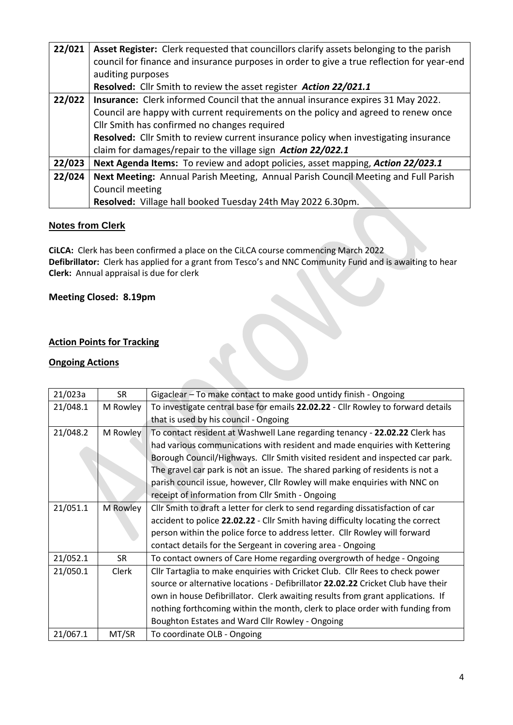| 22/021 | Asset Register: Clerk requested that councillors clarify assets belonging to the parish    |  |  |  |
|--------|--------------------------------------------------------------------------------------------|--|--|--|
|        | council for finance and insurance purposes in order to give a true reflection for year-end |  |  |  |
|        | auditing purposes                                                                          |  |  |  |
|        | Resolved: Cllr Smith to review the asset register Action 22/021.1                          |  |  |  |
| 22/022 | <b>Insurance:</b> Clerk informed Council that the annual insurance expires 31 May 2022.    |  |  |  |
|        | Council are happy with current requirements on the policy and agreed to renew once         |  |  |  |
|        | Cllr Smith has confirmed no changes required                                               |  |  |  |
|        | Resolved: Cllr Smith to review current insurance policy when investigating insurance       |  |  |  |
|        | claim for damages/repair to the village sign Action 22/022.1                               |  |  |  |
| 22/023 | Next Agenda Items: To review and adopt policies, asset mapping, Action 22/023.1            |  |  |  |
| 22/024 | Next Meeting: Annual Parish Meeting, Annual Parish Council Meeting and Full Parish         |  |  |  |
|        | Council meeting                                                                            |  |  |  |
|        | Resolved: Village hall booked Tuesday 24th May 2022 6.30pm.                                |  |  |  |

## **Notes from Clerk**

**CiLCA:** Clerk has been confirmed a place on the CiLCA course commencing March 2022 **Defibrillator:** Clerk has applied for a grant from Tesco's and NNC Community Fund and is awaiting to hear **Clerk:** Annual appraisal is due for clerk

## **Meeting Closed: 8.19pm**

## **Action Points for Tracking**

### **Ongoing Actions**

| 21/023a  | <b>SR</b> | Gigaclear - To make contact to make good untidy finish - Ongoing                 |
|----------|-----------|----------------------------------------------------------------------------------|
| 21/048.1 | M Rowley  | To investigate central base for emails 22.02.22 - Cllr Rowley to forward details |
|          |           | that is used by his council - Ongoing                                            |
| 21/048.2 | M Rowley  | To contact resident at Washwell Lane regarding tenancy - 22.02.22 Clerk has      |
|          |           | had various communications with resident and made enquiries with Kettering       |
|          |           | Borough Council/Highways. Cllr Smith visited resident and inspected car park.    |
|          |           | The gravel car park is not an issue. The shared parking of residents is not a    |
|          |           | parish council issue, however, Cllr Rowley will make enquiries with NNC on       |
|          |           | receipt of information from Cllr Smith - Ongoing                                 |
| 21/051.1 | M Rowley  | Cllr Smith to draft a letter for clerk to send regarding dissatisfaction of car  |
|          |           | accident to police 22.02.22 - Cllr Smith having difficulty locating the correct  |
|          |           | person within the police force to address letter. Cllr Rowley will forward       |
|          |           | contact details for the Sergeant in covering area - Ongoing                      |
| 21/052.1 | <b>SR</b> | To contact owners of Care Home regarding overgrowth of hedge - Ongoing           |
| 21/050.1 | Clerk     | Cllr Tartaglia to make enquiries with Cricket Club. Cllr Rees to check power     |
|          |           | source or alternative locations - Defibrillator 22.02.22 Cricket Club have their |
|          |           | own in house Defibrillator. Clerk awaiting results from grant applications. If   |
|          |           | nothing forthcoming within the month, clerk to place order with funding from     |
|          |           | Boughton Estates and Ward Cllr Rowley - Ongoing                                  |
| 21/067.1 | MT/SR     | To coordinate OLB - Ongoing                                                      |